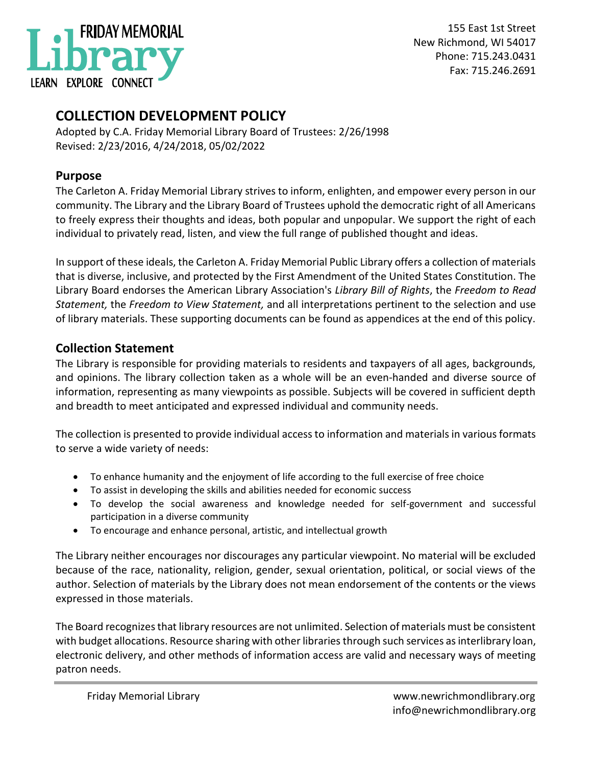

## **COLLECTION DEVELOPMENT POLICY**

Adopted by C.A. Friday Memorial Library Board of Trustees: 2/26/1998 Revised: 2/23/2016, 4/24/2018, 05/02/2022

## **Purpose**

The Carleton A. Friday Memorial Library strives to inform, enlighten, and empower every person in our community. The Library and the Library Board of Trustees uphold the democratic right of all Americans to freely express their thoughts and ideas, both popular and unpopular. We support the right of each individual to privately read, listen, and view the full range of published thought and ideas.

In support of these ideals, the Carleton A. Friday Memorial Public Library offers a collection of materials that is diverse, inclusive, and protected by the First Amendment of the United States Constitution. The Library Board endorses the American Library Association's *Library Bill of Rights*, the *Freedom to Read Statement,* the *Freedom to View Statement,* and all interpretations pertinent to the selection and use of library materials. These supporting documents can be found as appendices at the end of this policy.

## **Collection Statement**

The Library is responsible for providing materials to residents and taxpayers of all ages, backgrounds, and opinions. The library collection taken as a whole will be an even-handed and diverse source of information, representing as many viewpoints as possible. Subjects will be covered in sufficient depth and breadth to meet anticipated and expressed individual and community needs.

The collection is presented to provide individual access to information and materials in various formats to serve a wide variety of needs:

- To enhance humanity and the enjoyment of life according to the full exercise of free choice
- To assist in developing the skills and abilities needed for economic success
- To develop the social awareness and knowledge needed for self-government and successful participation in a diverse community
- To encourage and enhance personal, artistic, and intellectual growth

The Library neither encourages nor discourages any particular viewpoint. No material will be excluded because of the race, nationality, religion, gender, sexual orientation, political, or social views of the author. Selection of materials by the Library does not mean endorsement of the contents or the views expressed in those materials.

The Board recognizes that library resources are not unlimited. Selection of materials must be consistent with budget allocations. Resource sharing with other librariesthrough such services as interlibrary loan, electronic delivery, and other methods of information access are valid and necessary ways of meeting patron needs.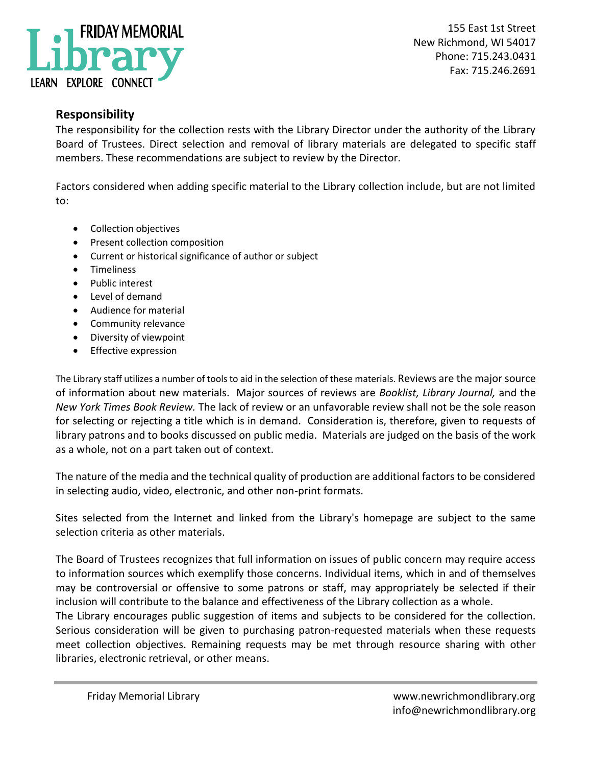

## **Responsibility**

The responsibility for the collection rests with the Library Director under the authority of the Library Board of Trustees. Direct selection and removal of library materials are delegated to specific staff members. These recommendations are subject to review by the Director.

Factors considered when adding specific material to the Library collection include, but are not limited to:

- Collection objectives
- Present collection composition
- Current or historical significance of author or subject
- Timeliness
- Public interest
- Level of demand
- Audience for material
- Community relevance
- Diversity of viewpoint
- Effective expression

The Library staff utilizes a number of tools to aid in the selection of these materials. Reviews are the major source of information about new materials. Major sources of reviews are *Booklist, Library Journal,* and the *New York Times Book Review.* The lack of review or an unfavorable review shall not be the sole reason for selecting or rejecting a title which is in demand. Consideration is, therefore, given to requests of library patrons and to books discussed on public media. Materials are judged on the basis of the work as a whole, not on a part taken out of context.

The nature of the media and the technical quality of production are additional factors to be considered in selecting audio, video, electronic, and other non-print formats.

Sites selected from the Internet and linked from the Library's homepage are subject to the same selection criteria as other materials.

The Board of Trustees recognizes that full information on issues of public concern may require access to information sources which exemplify those concerns. Individual items, which in and of themselves may be controversial or offensive to some patrons or staff, may appropriately be selected if their inclusion will contribute to the balance and effectiveness of the Library collection as a whole.

The Library encourages public suggestion of items and subjects to be considered for the collection. Serious consideration will be given to purchasing patron-requested materials when these requests meet collection objectives. Remaining requests may be met through resource sharing with other libraries, electronic retrieval, or other means.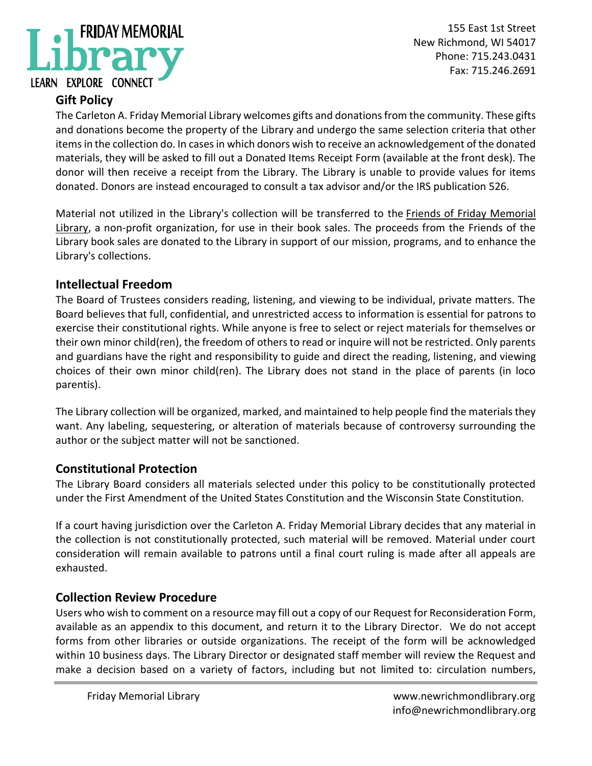

## **Gift Policy**

The Carleton A. Friday Memorial Library welcomes gifts and donations from the community. These gifts and donations become the property of the Library and undergo the same selection criteria that other items in the collection do. In cases in which donors wish to receive an acknowledgement of the donated materials, they will be asked to fill out a Donated Items Receipt Form (available at the front desk). The donor will then receive a receipt from the Library. The Library is unable to provide values for items donated. Donors are instead encouraged to consult a tax advisor and/or the IRS publication 526.

Material not utilized in the Library's collection will be transferred to the [Friends of Friday Memorial](http://friendsofspl.org/)  [Library,](http://friendsofspl.org/) a non-profit organization, for use in their book sales. The proceeds from the Friends of the Library book sales are donated to the Library in support of our mission, programs, and to enhance the Library's collections.

## **Intellectual Freedom**

The Board of Trustees considers reading, listening, and viewing to be individual, private matters. The Board believes that full, confidential, and unrestricted access to information is essential for patrons to exercise their constitutional rights. While anyone is free to select or reject materials for themselves or their own minor child(ren), the freedom of others to read or inquire will not be restricted. Only parents and guardians have the right and responsibility to guide and direct the reading, listening, and viewing choices of their own minor child(ren). The Library does not stand in the place of parents (in loco parentis).

The Library collection will be organized, marked, and maintained to help people find the materials they want. Any labeling, sequestering, or alteration of materials because of controversy surrounding the author or the subject matter will not be sanctioned.

## **Constitutional Protection**

The Library Board considers all materials selected under this policy to be constitutionally protected under the First Amendment of the United States Constitution and the Wisconsin State Constitution.

If a court having jurisdiction over the Carleton A. Friday Memorial Library decides that any material in the collection is not constitutionally protected, such material will be removed. Material under court consideration will remain available to patrons until a final court ruling is made after all appeals are exhausted.

## **Collection Review Procedure**

Users who wish to comment on a resource may fill out a copy of our Request for Reconsideration Form, available as an appendix to this document, and return it to the Library Director. We do not accept forms from other libraries or outside organizations. The receipt of the form will be acknowledged within 10 business days. The Library Director or designated staff member will review the Request and make a decision based on a variety of factors, including but not limited to: circulation numbers,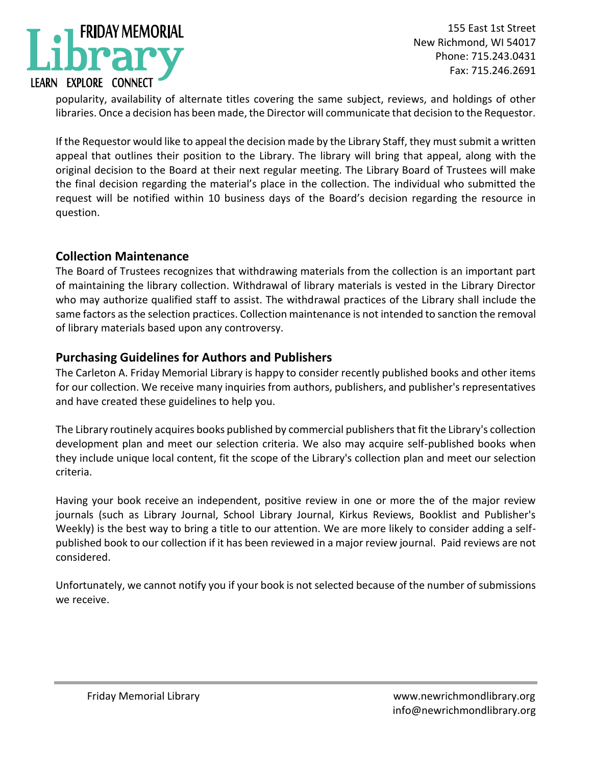

popularity, availability of alternate titles covering the same subject, reviews, and holdings of other libraries. Once a decision has been made, the Director will communicate that decision to the Requestor.

If the Requestor would like to appeal the decision made by the Library Staff, they must submit a written appeal that outlines their position to the Library. The library will bring that appeal, along with the original decision to the Board at their next regular meeting. The Library Board of Trustees will make the final decision regarding the material's place in the collection. The individual who submitted the request will be notified within 10 business days of the Board's decision regarding the resource in question.

## **Collection Maintenance**

The Board of Trustees recognizes that withdrawing materials from the collection is an important part of maintaining the library collection. Withdrawal of library materials is vested in the Library Director who may authorize qualified staff to assist. The withdrawal practices of the Library shall include the same factors as the selection practices. Collection maintenance is not intended to sanction the removal of library materials based upon any controversy.

## **Purchasing Guidelines for Authors and Publishers**

The Carleton A. Friday Memorial Library is happy to consider recently published books and other items for our collection. We receive many inquiries from authors, publishers, and publisher's representatives and have created these guidelines to help you.

The Library routinely acquires books published by commercial publishers that fit the Library's collection development plan and meet our selection criteria. We also may acquire self-published books when they include unique local content, fit the scope of the Library's collection plan and meet our selection criteria.

Having your book receive an independent, positive review in one or more the of the major review journals (such as Library Journal, School Library Journal, Kirkus Reviews, Booklist and Publisher's Weekly) is the best way to bring a title to our attention. We are more likely to consider adding a selfpublished book to our collection if it has been reviewed in a major review journal. Paid reviews are not considered.

Unfortunately, we cannot notify you if your book is not selected because of the number of submissions we receive.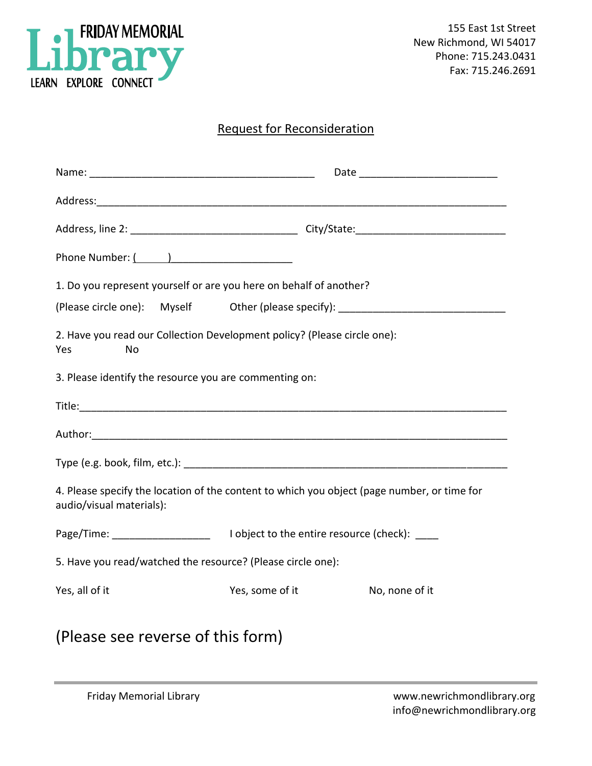

## Request for Reconsideration

| Phone Number: ( )                                                                                                       |                 |                                                                                  |  |
|-------------------------------------------------------------------------------------------------------------------------|-----------------|----------------------------------------------------------------------------------|--|
| 1. Do you represent yourself or are you here on behalf of another?                                                      |                 |                                                                                  |  |
|                                                                                                                         |                 | (Please circle one): Myself Other (please specify): ____________________________ |  |
| 2. Have you read our Collection Development policy? (Please circle one):<br>Yes<br>No                                   |                 |                                                                                  |  |
| 3. Please identify the resource you are commenting on:                                                                  |                 |                                                                                  |  |
|                                                                                                                         |                 |                                                                                  |  |
|                                                                                                                         |                 |                                                                                  |  |
|                                                                                                                         |                 |                                                                                  |  |
| 4. Please specify the location of the content to which you object (page number, or time for<br>audio/visual materials): |                 |                                                                                  |  |
| Page/Time: _______________________ I object to the entire resource (check): ____                                        |                 |                                                                                  |  |
| 5. Have you read/watched the resource? (Please circle one):                                                             |                 |                                                                                  |  |
| Yes, all of it                                                                                                          | Yes, some of it | No, none of it                                                                   |  |
| $\sqrt{2}$                                                                                                              |                 |                                                                                  |  |

# (Please see reverse of this form)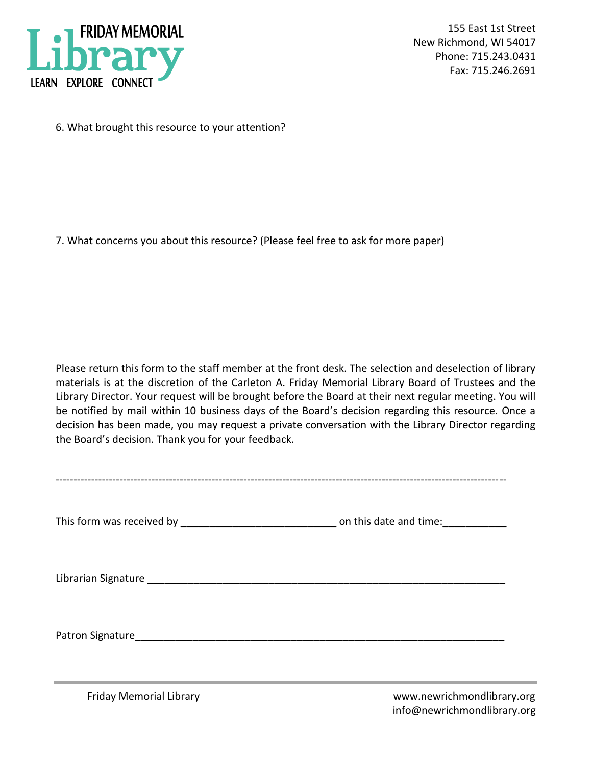

info@newrichmondlibrary.org

6. What brought this resource to your attention?

7. What concerns you about this resource? (Please feel free to ask for more paper)

Please return this form to the staff member at the front desk. The selection and deselection of library materials is at the discretion of the Carleton A. Friday Memorial Library Board of Trustees and the Library Director. Your request will be brought before the Board at their next regular meeting. You will be notified by mail within 10 business days of the Board's decision regarding this resource. Once a decision has been made, you may request a private conversation with the Library Director regarding the Board's decision. Thank you for your feedback.

|                                                                                                                | This form was received by __________________________________ on this date and time: ______________ |
|----------------------------------------------------------------------------------------------------------------|----------------------------------------------------------------------------------------------------|
|                                                                                                                |                                                                                                    |
| Patron Signature Patron Communication of the Signature Communication of the Communication of the Communication |                                                                                                    |
| <b>Friday Memorial Library</b>                                                                                 | www.newrichmondlibrary.org                                                                         |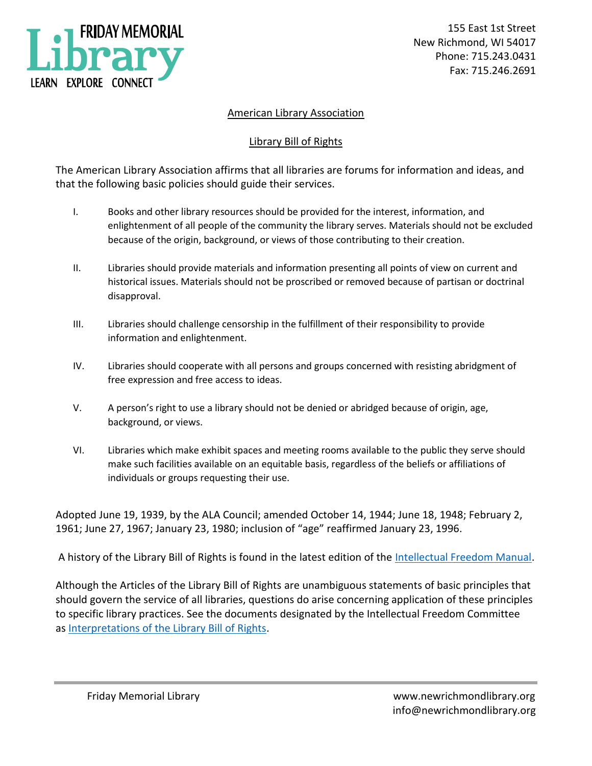

#### American Library Association

#### Library Bill of Rights

The American Library Association affirms that all libraries are forums for information and ideas, and that the following basic policies should guide their services.

- I. Books and other library resources should be provided for the interest, information, and enlightenment of all people of the community the library serves. Materials should not be excluded because of the origin, background, or views of those contributing to their creation.
- II. Libraries should provide materials and information presenting all points of view on current and historical issues. Materials should not be proscribed or removed because of partisan or doctrinal disapproval.
- III. Libraries should challenge censorship in the fulfillment of their responsibility to provide information and enlightenment.
- IV. Libraries should cooperate with all persons and groups concerned with resisting abridgment of free expression and free access to ideas.
- V. A person's right to use a library should not be denied or abridged because of origin, age, background, or views.
- VI. Libraries which make exhibit spaces and meeting rooms available to the public they serve should make such facilities available on an equitable basis, regardless of the beliefs or affiliations of individuals or groups requesting their use.

Adopted June 19, 1939, by the ALA Council; amended October 14, 1944; June 18, 1948; February 2, 1961; June 27, 1967; January 23, 1980; inclusion of "age" reaffirmed January 23, 1996.

A history of the Library Bill of Rights is found in the latest edition of the [Intellectual Freedom Manual.](http://www.ala.org/advocacy/intfreedom/iftoolkits/ifmanual/intellectual)

Although the Articles of the Library Bill of Rights are unambiguous statements of basic principles that should govern the service of all libraries, questions do arise concerning application of these principles to specific library practices. See the documents designated by the Intellectual Freedom Committee as [Interpretations of the Library Bill of Rights.](http://www.ala.org/advocacy/intfreedom/librarybill/interpretations)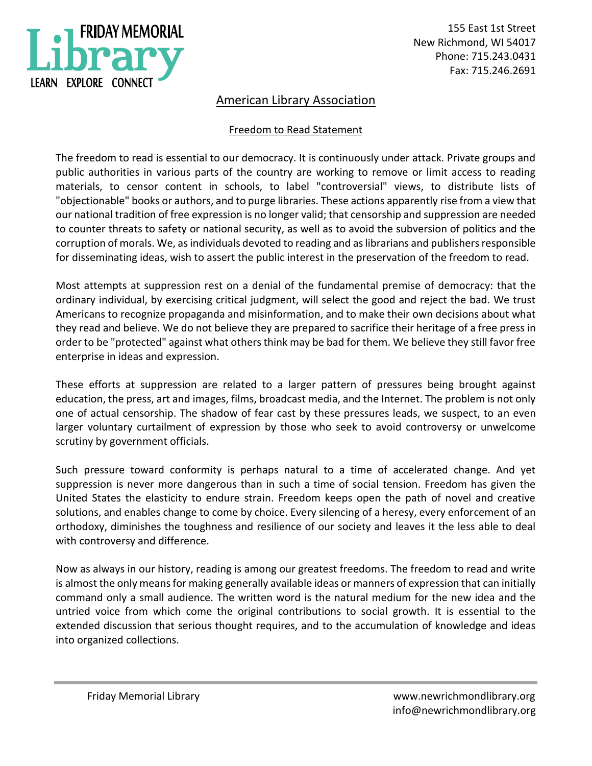

## American Library Association

#### Freedom to Read Statement

The freedom to read is essential to our democracy. It is continuously under attack. Private groups and public authorities in various parts of the country are working to remove or limit access to reading materials, to censor content in schools, to label "controversial" views, to distribute lists of "objectionable" books or authors, and to purge libraries. These actions apparently rise from a view that our national tradition of free expression is no longer valid; that censorship and suppression are needed to counter threats to safety or national security, as well as to avoid the subversion of politics and the corruption of morals. We, as individuals devoted to reading and as librarians and publishers responsible for disseminating ideas, wish to assert the public interest in the preservation of the freedom to read.

Most attempts at suppression rest on a denial of the fundamental premise of democracy: that the ordinary individual, by exercising critical judgment, will select the good and reject the bad. We trust Americans to recognize propaganda and misinformation, and to make their own decisions about what they read and believe. We do not believe they are prepared to sacrifice their heritage of a free press in order to be "protected" against what others think may be bad for them. We believe they still favor free enterprise in ideas and expression.

These efforts at suppression are related to a larger pattern of pressures being brought against education, the press, art and images, films, broadcast media, and the Internet. The problem is not only one of actual censorship. The shadow of fear cast by these pressures leads, we suspect, to an even larger voluntary curtailment of expression by those who seek to avoid controversy or unwelcome scrutiny by government officials.

Such pressure toward conformity is perhaps natural to a time of accelerated change. And yet suppression is never more dangerous than in such a time of social tension. Freedom has given the United States the elasticity to endure strain. Freedom keeps open the path of novel and creative solutions, and enables change to come by choice. Every silencing of a heresy, every enforcement of an orthodoxy, diminishes the toughness and resilience of our society and leaves it the less able to deal with controversy and difference.

Now as always in our history, reading is among our greatest freedoms. The freedom to read and write is almost the only means for making generally available ideas or manners of expression that can initially command only a small audience. The written word is the natural medium for the new idea and the untried voice from which come the original contributions to social growth. It is essential to the extended discussion that serious thought requires, and to the accumulation of knowledge and ideas into organized collections.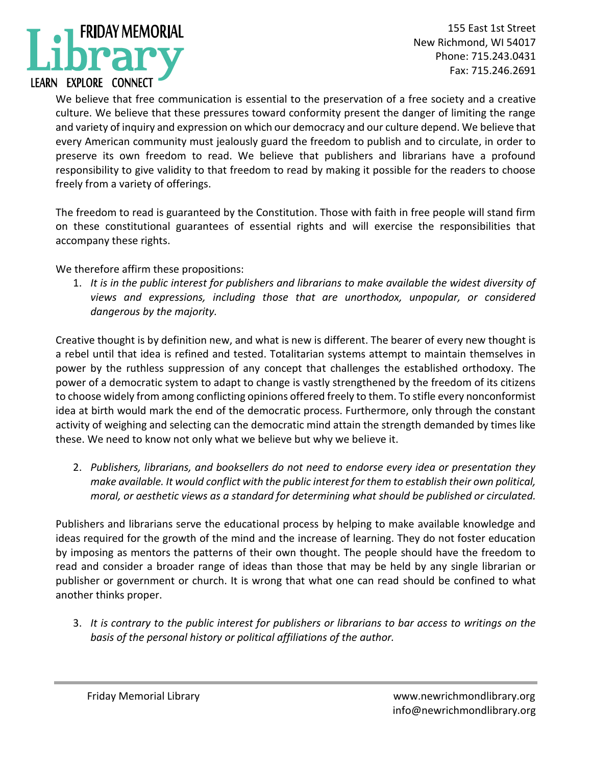

We believe that free communication is essential to the preservation of a free society and a creative culture. We believe that these pressures toward conformity present the danger of limiting the range and variety of inquiry and expression on which our democracy and our culture depend. We believe that every American community must jealously guard the freedom to publish and to circulate, in order to preserve its own freedom to read. We believe that publishers and librarians have a profound responsibility to give validity to that freedom to read by making it possible for the readers to choose freely from a variety of offerings.

The freedom to read is guaranteed by the Constitution. Those with faith in free people will stand firm on these constitutional guarantees of essential rights and will exercise the responsibilities that accompany these rights.

We therefore affirm these propositions:

1. *It is in the public interest for publishers and librarians to make available the widest diversity of views and expressions, including those that are unorthodox, unpopular, or considered dangerous by the majority.*

Creative thought is by definition new, and what is new is different. The bearer of every new thought is a rebel until that idea is refined and tested. Totalitarian systems attempt to maintain themselves in power by the ruthless suppression of any concept that challenges the established orthodoxy. The power of a democratic system to adapt to change is vastly strengthened by the freedom of its citizens to choose widely from among conflicting opinions offered freely to them. To stifle every nonconformist idea at birth would mark the end of the democratic process. Furthermore, only through the constant activity of weighing and selecting can the democratic mind attain the strength demanded by times like these. We need to know not only what we believe but why we believe it.

2. *Publishers, librarians, and booksellers do not need to endorse every idea or presentation they make available. It would conflict with the public interest for them to establish their own political, moral, or aesthetic views as a standard for determining what should be published or circulated.*

Publishers and librarians serve the educational process by helping to make available knowledge and ideas required for the growth of the mind and the increase of learning. They do not foster education by imposing as mentors the patterns of their own thought. The people should have the freedom to read and consider a broader range of ideas than those that may be held by any single librarian or publisher or government or church. It is wrong that what one can read should be confined to what another thinks proper.

3. *It is contrary to the public interest for publishers or librarians to bar access to writings on the basis of the personal history or political affiliations of the author.*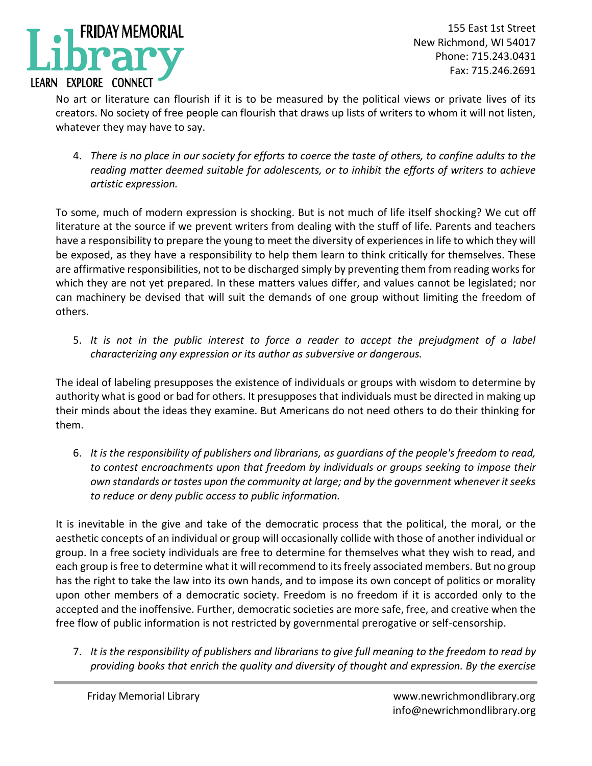

No art or literature can flourish if it is to be measured by the political views or private lives of its creators. No society of free people can flourish that draws up lists of writers to whom it will not listen, whatever they may have to say.

4. *There is no place in our society for efforts to coerce the taste of others, to confine adults to the reading matter deemed suitable for adolescents, or to inhibit the efforts of writers to achieve artistic expression.*

To some, much of modern expression is shocking. But is not much of life itself shocking? We cut off literature at the source if we prevent writers from dealing with the stuff of life. Parents and teachers have a responsibility to prepare the young to meet the diversity of experiences in life to which they will be exposed, as they have a responsibility to help them learn to think critically for themselves. These are affirmative responsibilities, not to be discharged simply by preventing them from reading works for which they are not yet prepared. In these matters values differ, and values cannot be legislated; nor can machinery be devised that will suit the demands of one group without limiting the freedom of others.

5. *It is not in the public interest to force a reader to accept the prejudgment of a label characterizing any expression or its author as subversive or dangerous.*

The ideal of labeling presupposes the existence of individuals or groups with wisdom to determine by authority what is good or bad for others. It presupposes that individuals must be directed in making up their minds about the ideas they examine. But Americans do not need others to do their thinking for them.

6. *It is the responsibility of publishers and librarians, as guardians of the people's freedom to read, to contest encroachments upon that freedom by individuals or groups seeking to impose their own standards or tastes upon the community at large; and by the government whenever it seeks to reduce or deny public access to public information.*

It is inevitable in the give and take of the democratic process that the political, the moral, or the aesthetic concepts of an individual or group will occasionally collide with those of another individual or group. In a free society individuals are free to determine for themselves what they wish to read, and each group is free to determine what it will recommend to its freely associated members. But no group has the right to take the law into its own hands, and to impose its own concept of politics or morality upon other members of a democratic society. Freedom is no freedom if it is accorded only to the accepted and the inoffensive. Further, democratic societies are more safe, free, and creative when the free flow of public information is not restricted by governmental prerogative or self-censorship.

7. *It is the responsibility of publishers and librarians to give full meaning to the freedom to read by providing books that enrich the quality and diversity of thought and expression. By the exercise*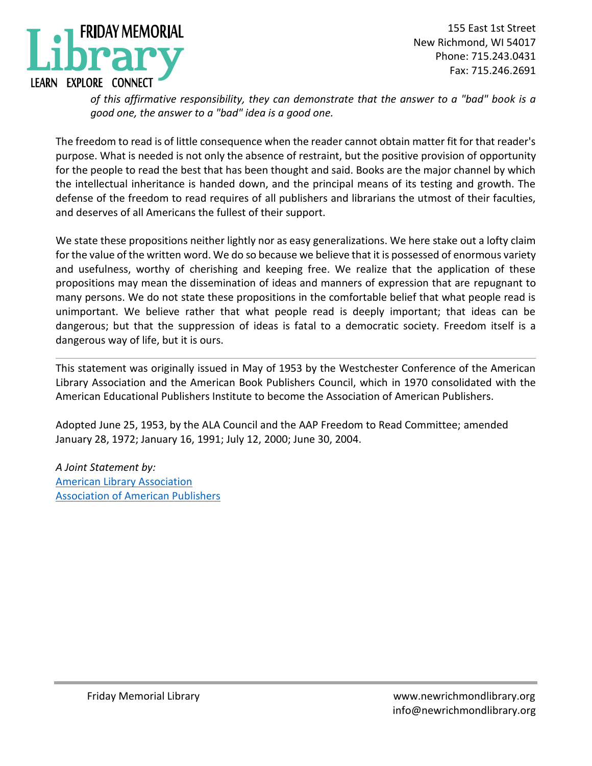

*of this affirmative responsibility, they can demonstrate that the answer to a "bad" book is a good one, the answer to a "bad" idea is a good one.*

The freedom to read is of little consequence when the reader cannot obtain matter fit for that reader's purpose. What is needed is not only the absence of restraint, but the positive provision of opportunity for the people to read the best that has been thought and said. Books are the major channel by which the intellectual inheritance is handed down, and the principal means of its testing and growth. The defense of the freedom to read requires of all publishers and librarians the utmost of their faculties, and deserves of all Americans the fullest of their support.

We state these propositions neither lightly nor as easy generalizations. We here stake out a lofty claim for the value of the written word. We do so because we believe that it is possessed of enormous variety and usefulness, worthy of cherishing and keeping free. We realize that the application of these propositions may mean the dissemination of ideas and manners of expression that are repugnant to many persons. We do not state these propositions in the comfortable belief that what people read is unimportant. We believe rather that what people read is deeply important; that ideas can be dangerous; but that the suppression of ideas is fatal to a democratic society. Freedom itself is a dangerous way of life, but it is ours.

This statement was originally issued in May of 1953 by the Westchester Conference of the American Library Association and the American Book Publishers Council, which in 1970 consolidated with the American Educational Publishers Institute to become the Association of American Publishers.

Adopted June 25, 1953, by the ALA Council and the AAP Freedom to Read Committee; amended January 28, 1972; January 16, 1991; July 12, 2000; June 30, 2004.

*A Joint Statement by:* [American Library Association](http://www.ala.org/) [Association of American Publishers](http://www.publishers.org/)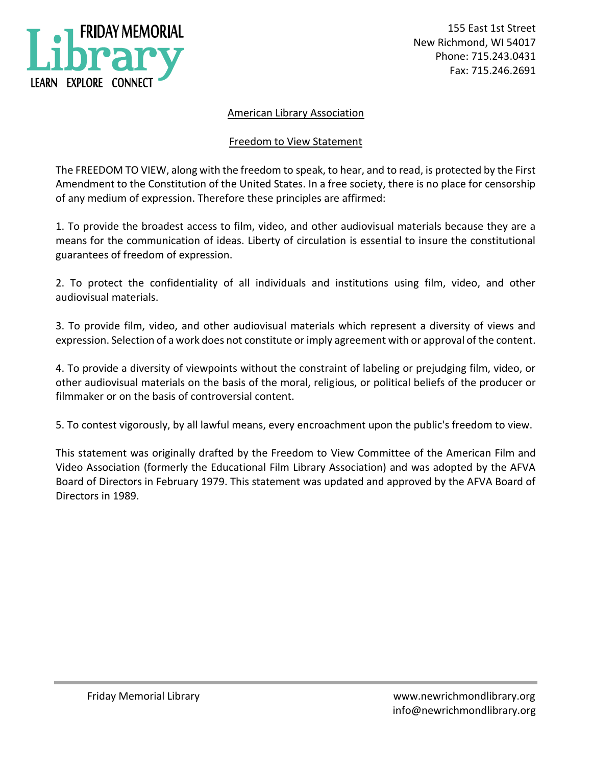

#### American Library Association

#### Freedom to View Statement

The FREEDOM TO VIEW, along with the freedom to speak, to hear, and to read, is protected by the First Amendment to the Constitution of the United States. In a free society, there is no place for censorship of any medium of expression. Therefore these principles are affirmed:

1. To provide the broadest access to film, video, and other audiovisual materials because they are a means for the communication of ideas. Liberty of circulation is essential to insure the constitutional guarantees of freedom of expression.

2. To protect the confidentiality of all individuals and institutions using film, video, and other audiovisual materials.

3. To provide film, video, and other audiovisual materials which represent a diversity of views and expression. Selection of a work does not constitute or imply agreement with or approval of the content.

4. To provide a diversity of viewpoints without the constraint of labeling or prejudging film, video, or other audiovisual materials on the basis of the moral, religious, or political beliefs of the producer or filmmaker or on the basis of controversial content.

5. To contest vigorously, by all lawful means, every encroachment upon the public's freedom to view.

This statement was originally drafted by the Freedom to View Committee of the American Film and Video Association (formerly the Educational Film Library Association) and was adopted by the AFVA Board of Directors in February 1979. This statement was updated and approved by the AFVA Board of Directors in 1989.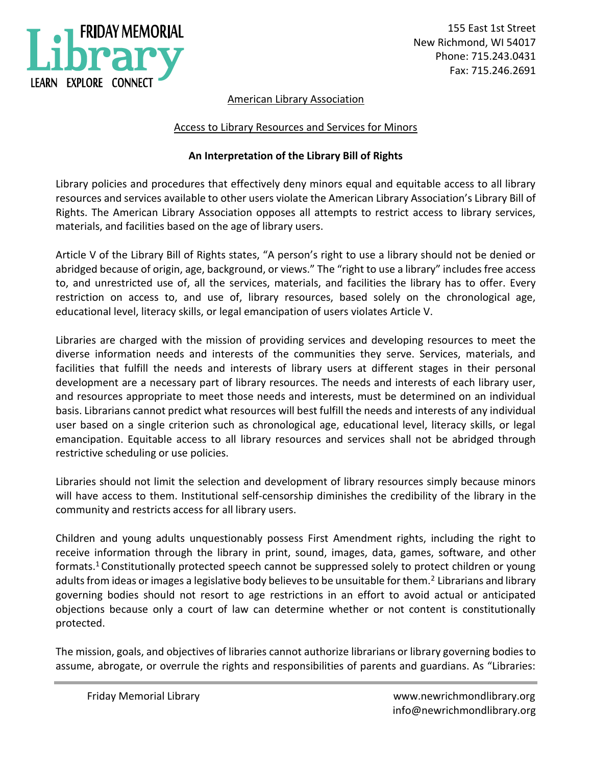

#### American Library Association

#### Access to Library Resources and Services for Minors

#### **An Interpretation of the Library Bill of Rights**

Library policies and procedures that effectively deny minors equal and equitable access to all library resources and services available to other users violate the American Library Association's Library Bill of Rights. The American Library Association opposes all attempts to restrict access to library services, materials, and facilities based on the age of library users.

Article V of the Library Bill of Rights states, "A person's right to use a library should not be denied or abridged because of origin, age, background, or views." The "right to use a library" includes free access to, and unrestricted use of, all the services, materials, and facilities the library has to offer. Every restriction on access to, and use of, library resources, based solely on the chronological age, educational level, literacy skills, or legal emancipation of users violates Article V.

Libraries are charged with the mission of providing services and developing resources to meet the diverse information needs and interests of the communities they serve. Services, materials, and facilities that fulfill the needs and interests of library users at different stages in their personal development are a necessary part of library resources. The needs and interests of each library user, and resources appropriate to meet those needs and interests, must be determined on an individual basis. Librarians cannot predict what resources will best fulfill the needs and interests of any individual user based on a single criterion such as chronological age, educational level, literacy skills, or legal emancipation. Equitable access to all library resources and services shall not be abridged through restrictive scheduling or use policies.

Libraries should not limit the selection and development of library resources simply because minors will have access to them. Institutional self-censorship diminishes the credibility of the library in the community and restricts access for all library users.

Children and young adults unquestionably possess First Amendment rights, including the right to receive information through the library in print, sound, images, data, games, software, and other formats.<sup>1</sup> Constitutionally protected speech cannot be suppressed solely to protect children or young adults from ideas or images a legislative body believes to be unsuitable for them.<sup>2</sup> Librarians and library governing bodies should not resort to age restrictions in an effort to avoid actual or anticipated objections because only a court of law can determine whether or not content is constitutionally protected.

The mission, goals, and objectives of libraries cannot authorize librarians or library governing bodies to assume, abrogate, or overrule the rights and responsibilities of parents and guardians. As "Libraries: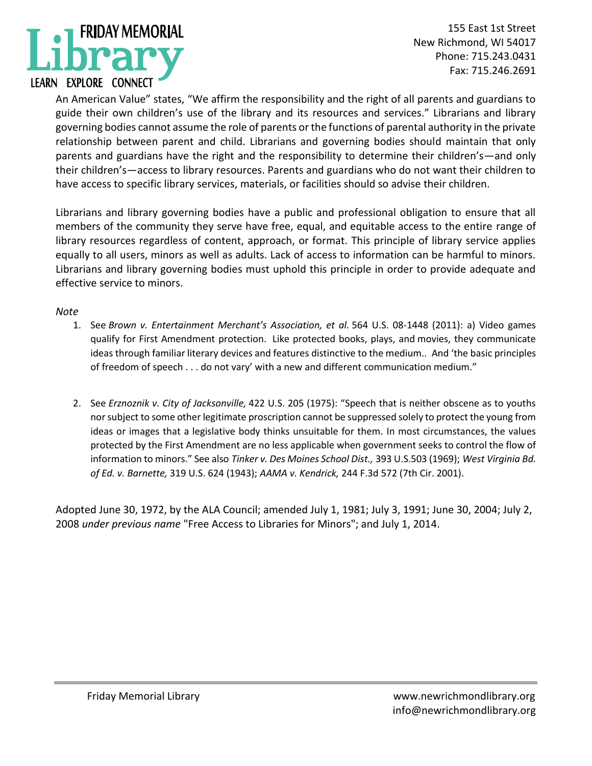

An American Value" states, "We affirm the responsibility and the right of all parents and guardians to guide their own children's use of the library and its resources and services." Librarians and library governing bodies cannot assume the role of parents or the functions of parental authority in the private relationship between parent and child. Librarians and governing bodies should maintain that only parents and guardians have the right and the responsibility to determine their children's—and only their children's—access to library resources. Parents and guardians who do not want their children to have access to specific library services, materials, or facilities should so advise their children.

Librarians and library governing bodies have a public and professional obligation to ensure that all members of the community they serve have free, equal, and equitable access to the entire range of library resources regardless of content, approach, or format. This principle of library service applies equally to all users, minors as well as adults. Lack of access to information can be harmful to minors. Librarians and library governing bodies must uphold this principle in order to provide adequate and effective service to minors.

#### *Note*

- 1. See *Brown v. Entertainment Merchant's Association, et al.* 564 U.S. 08-1448 (2011): a) Video games qualify for First Amendment protection. Like protected books, plays, and movies, they communicate ideas through familiar literary devices and features distinctive to the medium.. And 'the basic principles of freedom of speech . . . do not vary' with a new and different communication medium."
- 2. See *Erznoznik v. City of Jacksonville,* 422 U.S. 205 (1975): "Speech that is neither obscene as to youths nor subject to some other legitimate proscription cannot be suppressed solely to protect the young from ideas or images that a legislative body thinks unsuitable for them. In most circumstances, the values protected by the First Amendment are no less applicable when government seeks to control the flow of information to minors." See also *Tinker v. Des Moines School Dist.,* 393 U.S.503 (1969); *West Virginia Bd. of Ed. v. Barnette,* 319 U.S. 624 (1943); *AAMA v. Kendrick,* 244 F.3d 572 (7th Cir. 2001).

Adopted June 30, 1972, by the ALA Council; amended July 1, 1981; July 3, 1991; June 30, 2004; July 2, 2008 *under previous name* "Free Access to Libraries for Minors"; and July 1, 2014.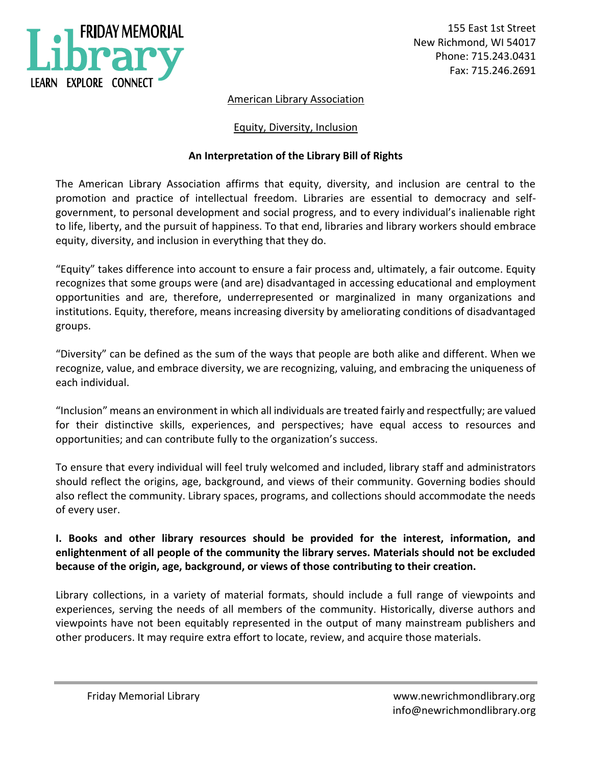

#### American Library Association

#### Equity, Diversity, Inclusion

#### **An Interpretation of the Library Bill of Rights**

The American Library Association affirms that equity, diversity, and inclusion are central to the promotion and practice of intellectual freedom. Libraries are essential to democracy and selfgovernment, to personal development and social progress, and to every individual's inalienable right to life, liberty, and the pursuit of happiness. To that end, libraries and library workers should embrace equity, diversity, and inclusion in everything that they do.

"Equity" takes difference into account to ensure a fair process and, ultimately, a fair outcome. Equity recognizes that some groups were (and are) disadvantaged in accessing educational and employment opportunities and are, therefore, underrepresented or marginalized in many organizations and institutions. Equity, therefore, means increasing diversity by ameliorating conditions of disadvantaged groups.

"Diversity" can be defined as the sum of the ways that people are both alike and different. When we recognize, value, and embrace diversity, we are recognizing, valuing, and embracing the uniqueness of each individual.

"Inclusion" means an environment in which all individuals are treated fairly and respectfully; are valued for their distinctive skills, experiences, and perspectives; have equal access to resources and opportunities; and can contribute fully to the organization's success.

To ensure that every individual will feel truly welcomed and included, library staff and administrators should reflect the origins, age, background, and views of their community. Governing bodies should also reflect the community. Library spaces, programs, and collections should accommodate the needs of every user.

**I. Books and other library resources should be provided for the interest, information, and enlightenment of all people of the community the library serves. Materials should not be excluded because of the origin, age, background, or views of those contributing to their creation.**

Library collections, in a variety of material formats, should include a full range of viewpoints and experiences, serving the needs of all members of the community. Historically, diverse authors and viewpoints have not been equitably represented in the output of many mainstream publishers and other producers. It may require extra effort to locate, review, and acquire those materials.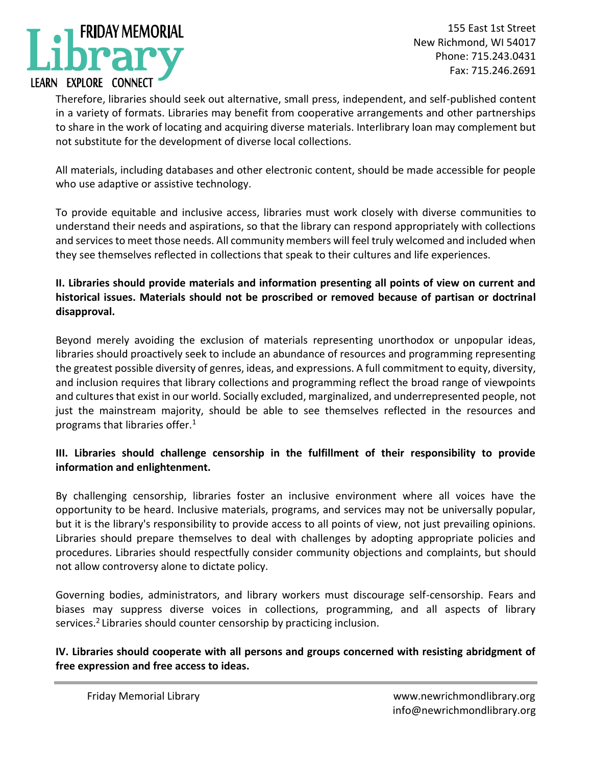

Therefore, libraries should seek out alternative, small press, independent, and self-published content in a variety of formats. Libraries may benefit from cooperative arrangements and other partnerships to share in the work of locating and acquiring diverse materials. Interlibrary loan may complement but not substitute for the development of diverse local collections.

All materials, including databases and other electronic content, should be made accessible for people who use adaptive or assistive technology.

To provide equitable and inclusive access, libraries must work closely with diverse communities to understand their needs and aspirations, so that the library can respond appropriately with collections and services to meet those needs. All community members will feel truly welcomed and included when they see themselves reflected in collections that speak to their cultures and life experiences.

## **II. Libraries should provide materials and information presenting all points of view on current and historical issues. Materials should not be proscribed or removed because of partisan or doctrinal disapproval.**

Beyond merely avoiding the exclusion of materials representing unorthodox or unpopular ideas, libraries should proactively seek to include an abundance of resources and programming representing the greatest possible diversity of genres, ideas, and expressions. A full commitment to equity, diversity, and inclusion requires that library collections and programming reflect the broad range of viewpoints and cultures that exist in our world. Socially excluded, marginalized, and underrepresented people, not just the mainstream majority, should be able to see themselves reflected in the resources and programs that libraries offer.<sup>1</sup>

## **III. Libraries should challenge censorship in the fulfillment of their responsibility to provide information and enlightenment.**

By challenging censorship, libraries foster an inclusive environment where all voices have the opportunity to be heard. Inclusive materials, programs, and services may not be universally popular, but it is the library's responsibility to provide access to all points of view, not just prevailing opinions. Libraries should prepare themselves to deal with challenges by adopting appropriate policies and procedures. Libraries should respectfully consider community objections and complaints, but should not allow controversy alone to dictate policy.

Governing bodies, administrators, and library workers must discourage self-censorship. Fears and biases may suppress diverse voices in collections, programming, and all aspects of library services.<sup>2</sup> Libraries should counter censorship by practicing inclusion.

## **IV. Libraries should cooperate with all persons and groups concerned with resisting abridgment of free expression and free access to ideas.**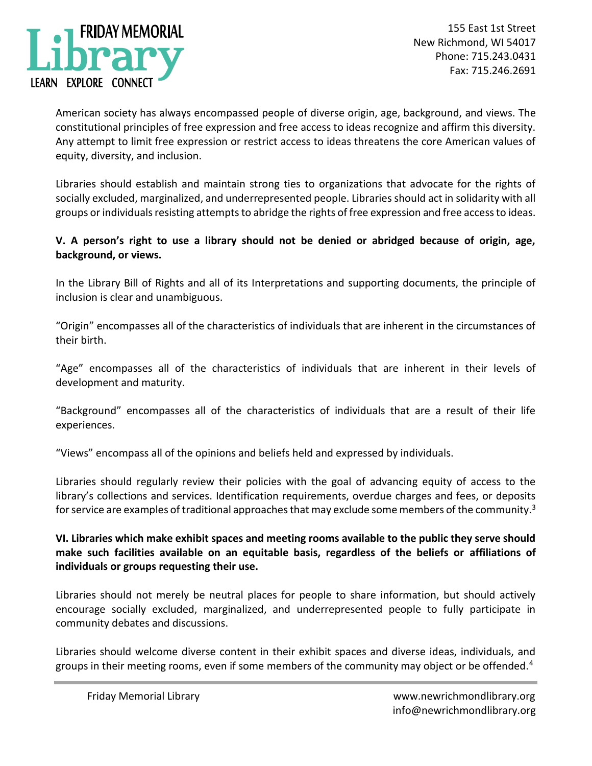

American society has always encompassed people of diverse origin, age, background, and views. The constitutional principles of free expression and free access to ideas recognize and affirm this diversity. Any attempt to limit free expression or restrict access to ideas threatens the core American values of equity, diversity, and inclusion.

Libraries should establish and maintain strong ties to organizations that advocate for the rights of socially excluded, marginalized, and underrepresented people. Libraries should act in solidarity with all groups or individuals resisting attempts to abridge the rights of free expression and free access to ideas.

### **V. A person's right to use a library should not be denied or abridged because of origin, age, background, or views.**

In the Library Bill of Rights and all of its Interpretations and supporting documents, the principle of inclusion is clear and unambiguous.

"Origin" encompasses all of the characteristics of individuals that are inherent in the circumstances of their birth.

"Age" encompasses all of the characteristics of individuals that are inherent in their levels of development and maturity.

"Background" encompasses all of the characteristics of individuals that are a result of their life experiences.

"Views" encompass all of the opinions and beliefs held and expressed by individuals.

Libraries should regularly review their policies with the goal of advancing equity of access to the library's collections and services. Identification requirements, overdue charges and fees, or deposits for service are examples of traditional approaches that may exclude some members of the community.<sup>3</sup>

**VI. Libraries which make exhibit spaces and meeting rooms available to the public they serve should make such facilities available on an equitable basis, regardless of the beliefs or affiliations of individuals or groups requesting their use.**

Libraries should not merely be neutral places for people to share information, but should actively encourage socially excluded, marginalized, and underrepresented people to fully participate in community debates and discussions.

Libraries should welcome diverse content in their exhibit spaces and diverse ideas, individuals, and groups in their meeting rooms, even if some members of the community may object or be offended.<sup>4</sup>